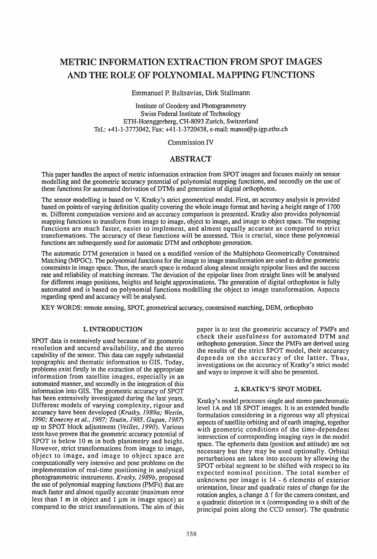# METRIC INFORMATION EXTRACTION FROM SPOT IMAGES AND THE ROLE OF POLYNOMIAL MAPPING FUNCTIONS

# Emmanuel P. Baltsavias, Dirk Stallmann

Institute of Geodesy and Photogrammetry Swiss Federal Institute of Technology ETH-Hoenggerberg, CH-8093 Zurich, Switzerland Tel.: +41-1-3773042, Fax: +41-1-3720438, e-mail: manos@p.igp.ethz.ch

Commission IV

# ABSTRACT

This paper handles the aspect of metric information extraction from SPOT images and focuses mainly on sensor modelling and the geometric accuracy potential of polynomial mapping functions, and secondly on the use of these functions for automated derivation of DTMs and generation of digital orthophotos.

The sensor modelling is based on V. Kratky's strict geometrical model. First, an accuracy analysis is provided based on points of varying definition quality covering the whole image format and having a height range of 1700 m. Different computation versions and an accuracy comparison is presented. Kratky also provides polynomial mapping functions to transform from image to image, object to image, and image to object space. The mapping functions are much faster, easier to implement, and almost equally accurate as compared to strict transformations. The accuracy of these functions will be assessed. This is crucial, since these polynomial functions are subsequently used for automatic DTM and orthophoto generation.

The automatic DTM generation is based on a modified version of the Multiphoto Geometrically Constrained Matching (MPGC). The polynomial functions for the image to image transformation are used to define geometric constraints in image space. Thus, the search space is reduced along almost straight epipolar lines and the success rate and reliability of matching increase. The deviation of the epipolar lines from straight lines will be analysed for different image positions, heights and height approximations. The generation of digital orthophotos is fully automated and is based on polynomial functions modelling the object to image transformation. Aspects regarding speed and accuracy will be analysed.

KEY WORDS: remote sensing, SPOT, geometrical accuracy, constrained matching, DEM, orthophoto

# 1. INTRODUCTION

SPOT data is extensively used because of its geometric resolution and secured availability, and the stereo capability of the sensor. This data can supply substantial topographic and thematic information to GIS. Today, problems exist firstly in the extraction of the appropriate information from satellite images, especially in an automated manner, and secondly in the integration of this information into GIS. The geometric accuracy of SPOT has been extensively investigated during the last years. Different models of varying complexity. rigour and accuracy have been developed *(Kratky. 1989a; Westin, 1990; Konecny et al.,* 1987; *Toutin,* 1985, *Gugan, 1987)*  up to SPOT block adjustment *(Veil/ef. 1990).* Various tests have proven that the geometric accuracy potential of SPOT is below 10 m in both planimetry and height. However, strict transformations from image to image, object to image, and image to object space are computationally very intensive and pose problems on the implementation of real-time positioning in analytical photogrammetric instruments. *Kratky, 1989b,* proposed the use of polynomial mapping functions (PMFs) that are much faster and almost equally accurate (maximum error less than  $1 \text{ m}$  in object and  $1 \text{ µm}$  in image space) as compared to the strict transformations. The aim of this paper is to test the geometric accuracy of PMFs and check their usefulness for automated DTM and orthophoto generation. Since the PMFs are derived using the results of the strict SPOT model, their accuracy depends on the accuracy of the latter. Thus, investigations on the accuracy of Kratky's strict model and ways to improve it will also be presented.

# 2. KRATKY'S SPOT MODEL

Kratky's model processes single and stereo panchromatic level lA and 1B SPOT images. It is an extended bundle formulation considering in a rigorous way all physical aspects of satellite orbiting and of earth imaging, together with geometric conditions of the time-dependent intersection of corresponding imaging rays in the model space. The ephemeris data (position and attitude) are not necessary but they may be used optionally. Orbital perturbations are taken into account by allowing the SPOT orbital segment to be shifted with respect to its expected nominal position. The total number of unknowns per image is 14 - 6 elements of exterior orientation, linear and quadratic rates of change for the rotation angles, a change  $\Delta f$  for the camera constant, and a quadratic distortion in x (corresponding to a shift of the principal point along the CCD sensor). The quadratic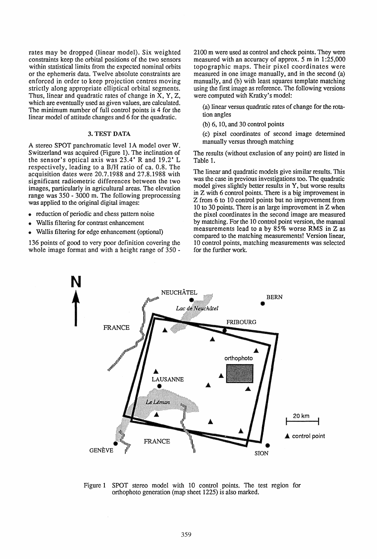rates may be dropped (linear model). Six weighted constraints keep the orbital positions of the two sensors within statistical limits from the expected nominal orbits or the ephemeris data. Twelve absolute constraints are enforced in order to keep projection centres moving strictly along appropriate elliptical orbital segments. Thus, linear and quadratic rates of change in X, Y, Z, which are eventually used as given values, are calculated. The minimum number of full control points is 4 for the linear model of attitude changes and 6 for the quadratic.

### 3. TEST DATA

A stereo SPOT panchromatic level 1A model over W. Switzerland was acquired (Figure 1). The inclination of the sensor's optical axis was  $23.4'$  R and  $19.2'$  L respectively, leading to a B/H ratio of ca. 0.8. The acquisition dates were 20.7.1988 and 27.8.1988 with significant radiometric differences between the two images, particularly in agricultural areas. The elevation range was 350 - 3000 m. The following preprocessing was applied to the original digital images:

- reduction of periodic and chess pattern noise
- Wallis filtering for contrast enhancement
- Wallis filtering for edge enhancement (optional)

136 points of good to very poor definition covering the whole image format and with a height range of 350 -

2100 m were used as control and check points. They were measured with an accuracy of approx. 5 m in 1:25,000 topographic maps. Their pixel coordinates were measured in one image manually, and in the second (a) manually, and (b) with least squares template matching using the first image as reference. The following versions were computed with Kratky's model:

(a) linear versus quadratic rates of change for the rotation angles

(b) 6, 10, and 30 control points

(c) pixel coordinates of second image determined manually versus through matching

The results (without exclusion of any point) are listed in Table 1.

The linear and quadratic models give similar results. This was the case in previous investigations too. The quadratic model gives slightly better results in Y, but worse results in Z with 6 control points. There is a big improvement in Z from 6 to 10 control points but no improvement from 10 to 30 points. There is an large improvement in Z when the pixel coordinates in the second image are measured by matching. For the 10 control point version, the manual measurements lead to a by 85% worse RMS in Z as compared to the matching measurements! Version linear. 10 control points, matching measurements was selected for the further work.



Figure 1 SPOT stereo model with 10 control points. The test region for orthophoto generation (map sheet 1225) is also marked.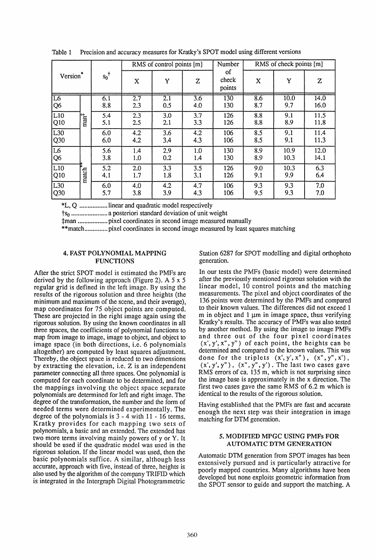| Version <sup>®</sup>    |                                   | $s_0$ <sup>†</sup> | RMS of control points [m] |            |                         | Number                | RMS of check points [m] |              |              |
|-------------------------|-----------------------------------|--------------------|---------------------------|------------|-------------------------|-----------------------|-------------------------|--------------|--------------|
|                         |                                   |                    | X                         | Y          | Z                       | οf<br>check<br>points | X                       | Y            | Z            |
| L6<br> Q6               | $\operatorname{man}^{\mathsf{F}}$ | 6.1<br>8.8         | 2.7<br>2.3                | 2.1<br>0.5 | $\overline{3.6}$<br>4.0 | 130<br>130            | 8.6<br>8.7              | 10.0<br>9.7  | 14.0<br>16.0 |
| L <sub>10</sub><br> Q10 |                                   | 5.4<br>5.1         | 2.3<br>2.5                | 3.0<br>2.1 | 3.7<br>3.3              | 126<br>126            | 8.8<br>8.8              | 9.1<br>8.9   | 11.5<br>11.8 |
| L30<br>Q <sub>30</sub>  |                                   | 6.0<br>6.0         | 4.2<br>4.2                | 3.6<br>3.4 | 4.2<br>4.3              | 106<br>106            | 8.5<br>8.5              | 9.1<br>9.1   | 11.4<br>11.3 |
| $\overline{L6}$<br>Q6   |                                   | 5.6<br>3.8         | 1.4<br>1.0                | 2.9<br>0.2 | 1.0<br>1.4              | 130<br>130            | 8.9<br>8.9              | 10.9<br>10.3 | 12.0<br>14.1 |
| L10<br>$ Q10\rangle$    | match                             | 5.2<br>4.1         | 2.0<br>1.7                | 3.3<br>1.8 | 3.5<br>3.1              | 126<br>126            | 9.0<br>9.1              | 10.3<br>9.9  | 6.3<br>6.4   |
| L30<br>Q30              |                                   | 6.0<br>5.7         | 4.0<br>3.8                | 4.2<br>3.9 | 4.7<br>4.3              | 106<br>106            | 9.3<br>9.5              | 9.3<br>9.3   | 7.0<br>7.0   |

Table 1 Precision and accuracy measures for Kratky's SPOT model using different versions

\*L. Q ................. linear and quadratic model respectively

tso ...................... a posteriori standard deviation of unit weight

:j:man .................. pixel coordinates in second image measured manually

\*\*match .............. pixel coordinates in second image measured by least squares matching

#### 4. FAST POLYNOMIAL MAPPING FUNCTIONS

After the strict SPOT model is estimated the PMFs are derived by the following approach (Figure 2). A 5 x 5 regular grid is defined in the left image. By using the results of the rigorous solution and three heights (the minimum and maximum of the scene, and their average), map coordinates for 75 object points are computed. These are projected in the right image again using the rigorous solution. By using the known coordinates in all three spaces, the coefficients of polynomial functions to map from image to image. image to object, and object to image space (in both directions, i.e. 6 polynomials altogether) are computed by least squares adjustment. Thereby. the object space is reduced to two dimensions by extracting the elevation, i.e. Z is an independent parameter connecting all three spaces. One polynomial is computed for each coordinate to be determined, and for the mappings involving the object space separate polynomials are determined for left and right image. The degree of the transformation, the number and the form of needed terms were determined experimentally. The degree of the polynomials is 3 - 4 with 11 - 16 terms. Kratky provides for each mapping two sets of polynomials, a basic and an extended. The extended has two more terms involving mainly powers of y or Y. It should be used if the quadratic model was used in the rigorous solution. If the linear model was used, then the basic polynomials suffice. A similar, although less accurate, approach with five, instead of three, heights is also used by the algorithm of the company TRIFID which is integrated in the Intergraph Digital Photogrammetric

Station 6287 for SPOT modelling and digital orthophoto generation.

In our tests the PMFs (basic model) were determined after the previously mentioned rigorous solution with the linear model, 10 control points and the matching measurements. The pixel and object coordinates of the 136 points were determined by the PMFs and compared to their known values. The differences did not exceed 1 m in object and  $1 \mu m$  in image space, thus verifying Kratky's results. The accuracy of PMFs was also tested by another method. By using the image to image PMFs and three out of the four pixel coordinates  $(x', y', x'', y'')$  of each point, the heights can be determined and compared to the known values. This was done for the triplets  $(x', y', x'')$ ,  $(x'', y'', x')$ ,  $(x', y', y'')$ ,  $(x'', y'', y')$ . The last two cases gave RMS errors of ca. 135 m, which is not surprising since the image base is approximately in the x direction. The first two cases gave the same RMS of 6.2 m which is identical to the results of the rigorous solution.

Having established that the PMFs are fast and accurate enough the next step was their integration in image matching for DTM generation.

#### S. MODIFIED MPGC USING PMFs FOR AUTOMATIC DTM GENERATION

Automatic DTM generation from SPOT images has been extensively pursued and is particularly attractive for poorly mapped countries. Many algorithms have been developed but none exploits geometric information from the SPOT sensor to guide and support the matching. A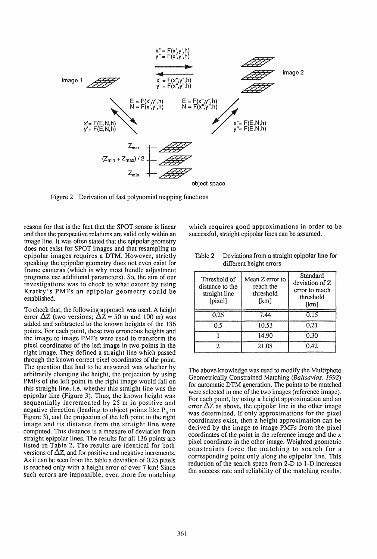

Figure 2 Derivation of fast polynomial mapping functions

reason for that is the fact that the SPOT sensor is linear and thus the perspective relations are valid only within an image line. It was often stated that the epipolar geometry does not exist for SPOT images and that resampling to epipolar images requires a DTM. However, strictly speaking the epipolar geometry does not even exist for frame cameras (which is why most bundle adjustment programs use additional parameters). So, the aim of our investigations was to check to what extent by using Kratky's PMFs an epipolar geometry could be established.

To check that. the following approach was used. A height error  $\Delta z$  (two versions;  $\Delta z = 50$  m and 100 m) was added and subtracted to the known heights of the 136 points. For each point. these two erroneous heights and the image to image PMFs were used to transform the pixel coordinates of the left image in two points in the right image. They defined a straight line which passed through the known correct pixel coordinates of the point. The question that had to be answered was whether by arbitrarily changing the height, the projection by using PMFs of the left point in the right image would fall on this straight line, i.e. whether this straight line was the epipolar line (Figure 3). Thus, the known height was sequentially incremented by 25 m in positive and negative direction (leading to object points like  $P_n$  in Figure 3). and the projection of the left point in the right image and its distance from the straight line were computed. This distance is a measure of deviation from straight epipolar lines. The results for all 136 points are listed in Table 2. The results are identical for both versions of  $\Delta z$ , and for positive and negative increments. As it can be seen from the table a deviation of 0.25 pixels is reached only with a height error of over 7 km! Since such errors are impossible. even more for matching

which requires good approximations in order to be successful, straight epipolar lines can be assumed.

| Threshold of<br>distance to the<br>straight line<br>[pixel] | Mean Z error to<br>reach the<br>threshold<br>[km] | Standard<br>deviation of Z<br>error to reach<br>threshold<br>[km] |  |  |
|-------------------------------------------------------------|---------------------------------------------------|-------------------------------------------------------------------|--|--|
| 0.25                                                        | 7.44                                              | 0.15                                                              |  |  |
| ሰ ና                                                         | 10.53                                             | 0.21                                                              |  |  |
|                                                             | 14.90                                             | 0.30                                                              |  |  |
|                                                             | 21.08                                             | 0.42.                                                             |  |  |

Table 2 Deviations from a straight epipolar line for different height errors

The above knowledge was used to modify the Multiphoto Geometrically Constrained Matching (Baitsavias, 1992) for automatic DTM generation. The points to be matched were selected in one of the two images (reference image). For each point, by using a height approximation and an error  $\Delta z$  as above, the epipolar line in the other image was determined. If only approximations for the pixel coordinates exist, then a height approximation can be derived by the image to image PMFs from the pixel coordinates of the point in the reference image and the x pixel coordinate in the other image. Weighted geometric constraints force the matching to search for a corresponding point only along the epipolar line. This reduction of the search space from 2-D to 1-D increases the success rate and reliability of the matching results.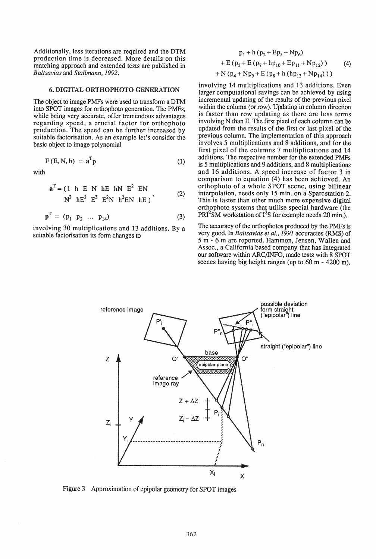Additionally. less iterations are required and the DTM production time is decreased. More details on this matching approach and extended tests are published in *Baltsavias* and *Stallmann, 1992.* 

# 6. DIGITAL ORTHOPHOTO GENERATION

The object to image PMFs were used to transform a DTM into SPOT images for orthophoto generation. The PMFs, while being very accurate, offer tremendous advantages regarding speed, a crucial factor for orthophoto production. The speed can be further increased by suitable factorisation. As an example let's consider the basic object to image polynomial

$$
F(E, N, h) = aTp
$$
 (1)

with

$$
a^{T} = (1 h E N h E h N E^{2} EN N^{2} h E^{2} E^{3} E^{2} N h^{2} EN h E)
$$
 (2)

$$
\mathbf{p}^* = (p_1 \ p_2 \ \dots \ p_{14}) \tag{3}
$$

involving 30 multiplications and 13 additions. By a suitable factorisation its form changes to

$$
p_1 + h (p_2 + Ep_5 + Np_6)
$$
  
+ E (p<sub>3</sub> + E (p<sub>7</sub> + h p<sub>10</sub> + Ep<sub>11</sub> + Np<sub>12</sub>) ) (4)  
+ N (p<sub>4</sub> + Np<sub>9</sub> + E (p<sub>8</sub> + h (hp<sub>13</sub> + Np<sub>14</sub>)))

involving 14 multiplications and 13 additions. Even larger computational savings can be achieved by using incremental updating of the results of the previous pixel within the column (or row). Updating in column direction is faster than row updating as there are less terms involving N than E. The first pixel of each column can be updated from the results of the first or last pixel of the previous column. The implementation of this approach involves 5 multiplications and 8 additions, and for the first pixel of the columns 7 multiplications and 14 additions. The respective number for the extended PMFs is 5 multiplications and 9 additions, and 8 multiplications and 16 additions. A speed increase of factor 3 in comparison to equation (4) has been achieved. An orthophoto of a whole SPOT scene, using bilinear interpolation, needs only 15 min. on a Sparcstation 2. This is faster than other much more expensive digital orthophoto systems that utilise special hardware (the  $PRI<sup>2</sup>SM$  workstation of  $I<sup>2</sup>S$  for example needs 20 min.).

The accuracy of the orthophotos produced by the PMFs is very good. In *Baltsavias et al.,* 1991 accuracies (RMS) of 5 m - 6 m are reported. Hammon, Jensen, Wallen and Assoc., a California based company that has integrated our software within ARC/INFO, made tests with 8 SPOT scenes having big height ranges (up to 60 m - 4200 m).



Figure 3 Approximation of epipolar geometry for SPOT images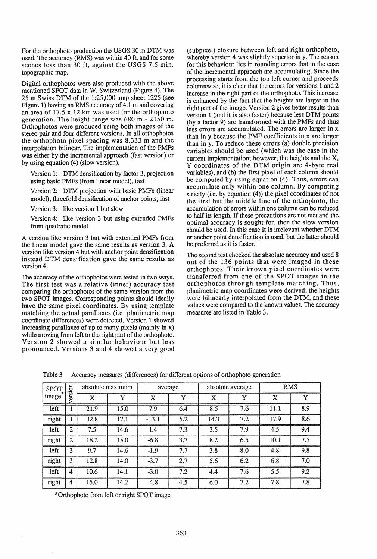For the orthophoto production the USGS 30 m DTM was used. The accuracy (RMS) was within 40 ft, and for some scenes less than 30 ft, against the USGS 7.5 min. topographic map.

Digital orthophotos were also produced with the above mentioned SPOT data in W. Switzerland (Figure 4). The 25 m Swiss DTM of the 1 :25,000 map sheet 1225 (see Figure 1) having an RMS accuracy of 4.1 m and covering an area of  $17.5 \times 12$  km was used for the orthophoto generation. The height range was 680 m - 2150 m. Orthophotos were produced using both images of the stereo pair and four different versions. In all orthophotos the orthophoto pixel spacing was 8.333 m and the interpolation bilinear. The implementation of the PMFs was either by the incremental approach (fast version) or by using equation (4) (slow version).

Version 1: DTM densification by factor 3, projection using basic PMFs (from linear model), fast

Version 2: DTM projection with basic PMFs (linear model), threefold densification of anchor points, fast

Version 3: like version 1 but slow

Version 4: like version 3 but using extended PMFs from quadratic model

A version like version 3 but with extended PMFs from the linear model gave the same results as version 3. A version like version 4 but with anchor point densification instead DTM densification gave the same results as version 4.

The accuracy of the orthophotos were tested in two ways. The first test was a relative (inner) accuracy test comparing the orthophotos of the same version from the two SPOT images. Corresponding points should ideally have the same pixel coordinates. By using template matching the actual parallaxes (i.e. planimetric map coordinate differences) were detected. Version 1 showed increasing parallaxes of up to many pixels (mainly in x) while moving from left to the right part of the orthophoto. Version 2 showed a similar behaviour but less pronounced. Versions 3 and 4 showed a very good

(subpixel) closure between left and right orthophoto, whereby version 4 was slightly superior in y. The reason for this behaviour lies in rounding errors that in the case of the incremental approach are accumulating. Since the processing starts from the top left corner and proceeds columnwise, it is clear that the errors for versions 1 and 2 increase in the right part of the orthophoto. This increase is enhanced by the fact that the heights are larger **in** the right part of the image. Version 2 gives better results than version 1 (and it is also faster) because less DTM points (by a factor 9) are transformed with the PMFs and thus less errors are accumulated. The errors are larger in x than in y because the PMF coefficients in x are larger than in y. To reduce these errors (a) double precision variables should be used (which was the case in the current implementation; however, the heights and the X, Y coordinates of the DTM origin are 4-byte real variables), and (b) the first pixel of each column should be computed by using equation (4). Thus, errors can accumulate only within one column. By computing strictly (i.e. by equation  $(4)$ ) the pixel coordinates of not the first but the middle line of the orthophoto, the accumulation of errors within one column can be reduced to half its length. If these precautions are not met and the optimal accuracy is sought for, then the slow version should be used. In this case it is irrelevant whether DTM or anchor point densification is used, but the latter should be preferred as it is faster.

The second test checked the absolute accuracy and used 8 out of the 136 points that were imaged in these orthophotos. Their known pixel coordinates were transferred from one of the SPOT images in the orthophotos through template matching. Thus, planimetric map coordinates were derived, the heights were bilinearly interpolated from the DTM, and these values were compared to the known values. The accuracy measures are listed in Table 3.

| <b>SPOT</b><br>image <sup>-</sup> | version        | absolute maximum |      | average |     | absolute average |     | <b>RMS</b>  |     |
|-----------------------------------|----------------|------------------|------|---------|-----|------------------|-----|-------------|-----|
|                                   |                | X                | Y    | X       | Y   | X                | Y   | $\mathbf X$ | Y   |
| left                              |                | 21.9             | 15.0 | 7.9     | 6.4 | 8.5              | 7.6 | 11.1        | 8.9 |
| right                             |                | 32.8             | 17.1 | $-13.1$ | 5.2 | 14.3             | 7.2 | 17.9        | 8.6 |
| left                              | $\overline{2}$ | 7.5              | 14.6 | 1.4     | 7.3 | 3.5              | 7.9 | 4.5         | 9.4 |
| right                             | $\mathbf{2}$   | 18.2             | 15.0 | $-6.8$  | 3.7 | 8.2              | 6.5 | 10.1        | 7.5 |
| left                              | 3              | 9.7              | 14.6 | $-1.9$  | 7.7 | 3.8              | 8.0 | 4.8         | 9.8 |
| right                             | 3              | 12.8             | 14.0 | $-3.7$  | 2.7 | 5.6              | 6.2 | 6.8         | 7.0 |
| left                              | 4              | 10.6             | 14.1 | $-3.0$  | 7.2 | 4.4              | 7.6 | 5.5         | 9.2 |
| right                             | 4              | 15.0             | 14.2 | $-4.8$  | 4.5 | 6.0              | 7.2 | 7.8         | 7.8 |

Table 3 Accuracy measures (differences) for different options of orthophoto generation

\*Orthophoto from left or right SPOT image